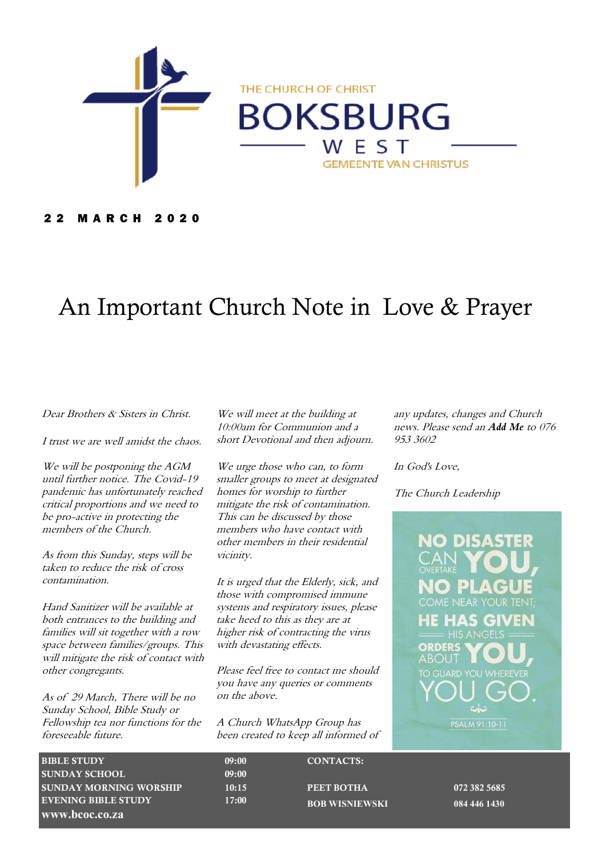

#### 2 2 M A R C H 2 0 2 0

# An Important Church Note in Love & Prayer

#### Dear Brothers & Sisters in Christ.

I trust we are well amidst the chaos.

We will be postponing the AGM until further notice. The Covid-19 pandemic has unfortunately reached critical proportions and we need to be pro-active in protecting the members of the Church.

As from this Sunday, steps will be taken to reduce the risk of cross contamination.

Hand Sanitizer will be available at both entrances to the building and families will sit together with a row space between families/groups. This will mitigate the risk of contact with other congregants.

As of 29 March, There will be no Sunday School, Bible Study or Fellowship tea nor functions for the foreseeable future.

We will meet at the building at 10:00am for Communion and a short Devotional and then adjourn.

We urge those who can, to form smaller groups to meet at designated homes for worship to further mitigate the risk of contamination. This can be discussed by those members who have contact with other members in their residential vicinity.

It is urged that the Elderly, sick, and those with compromised immune systems and respiratory issues, please take heed to this as they are at higher risk of contracting the virus with devastating effects.

Please feel free to contact me should you have any queries or comments on the above.

A Church WhatsApp Group has been created to keep all informed of any updates, changes and Church news. Please send an *Add Me* to 076 953 3602

In God's Love,

The Church Leadership

ORDERS ABOU I PSALM 91:10-11

| <b>BIBLE STUDY</b>            | 09:00 | <b>CONTACTS:</b>      |
|-------------------------------|-------|-----------------------|
| <b>SUNDAY SCHOOL</b>          | 09:00 |                       |
| <b>SUNDAY MORNING WORSHIP</b> | 10:15 | PEET BOTHA            |
| <b>EVENING BIBLE STUDY</b>    | 17:00 | <b>BOB WISNIEWSKI</b> |
| www.bcoc.co.za                |       |                       |

072 382 5685 **BOB WISNIEWSKI 084 446 1430**